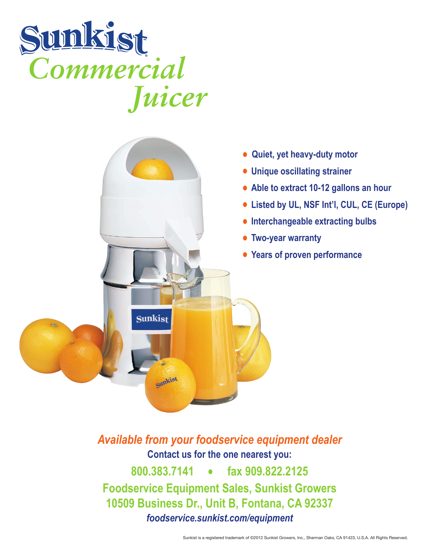



*Available from your foodservice equipment dealer* **Contact us for the one nearest you: 800.383.7141 • fax 909.822.2125 Foodservice Equipment Sales, Sunkist Growers 10509 Business Dr., Unit B, Fontana, CA 92337** *foodservice.sunkist.com/equipment*